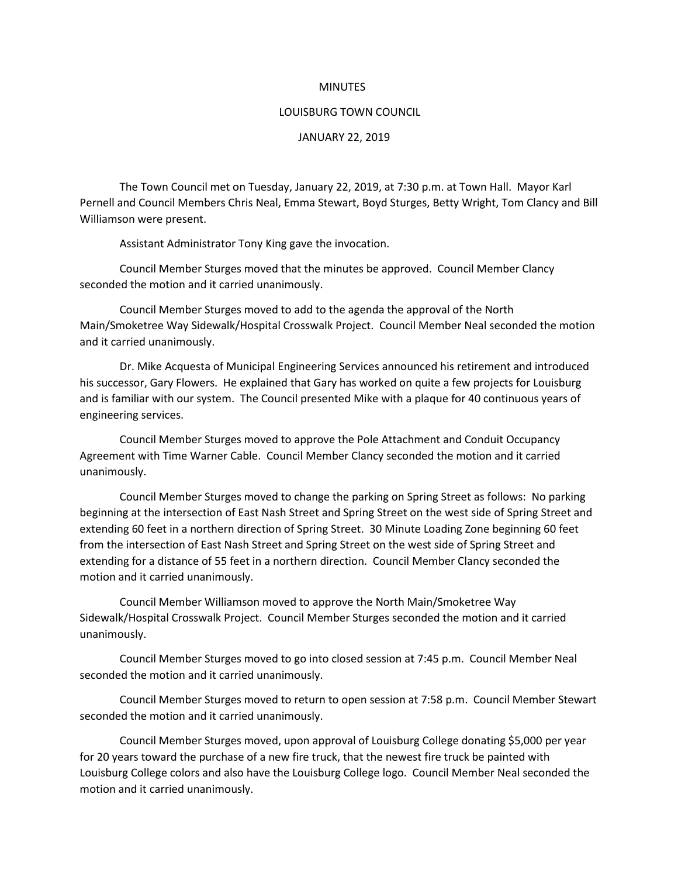## MINUTES

## LOUISBURG TOWN COUNCIL

## JANUARY 22, 2019

The Town Council met on Tuesday, January 22, 2019, at 7:30 p.m. at Town Hall. Mayor Karl Pernell and Council Members Chris Neal, Emma Stewart, Boyd Sturges, Betty Wright, Tom Clancy and Bill Williamson were present.

Assistant Administrator Tony King gave the invocation.

Council Member Sturges moved that the minutes be approved. Council Member Clancy seconded the motion and it carried unanimously.

Council Member Sturges moved to add to the agenda the approval of the North Main/Smoketree Way Sidewalk/Hospital Crosswalk Project. Council Member Neal seconded the motion and it carried unanimously.

Dr. Mike Acquesta of Municipal Engineering Services announced his retirement and introduced his successor, Gary Flowers. He explained that Gary has worked on quite a few projects for Louisburg and is familiar with our system. The Council presented Mike with a plaque for 40 continuous years of engineering services.

Council Member Sturges moved to approve the Pole Attachment and Conduit Occupancy Agreement with Time Warner Cable. Council Member Clancy seconded the motion and it carried unanimously.

Council Member Sturges moved to change the parking on Spring Street as follows: No parking beginning at the intersection of East Nash Street and Spring Street on the west side of Spring Street and extending 60 feet in a northern direction of Spring Street. 30 Minute Loading Zone beginning 60 feet from the intersection of East Nash Street and Spring Street on the west side of Spring Street and extending for a distance of 55 feet in a northern direction. Council Member Clancy seconded the motion and it carried unanimously.

Council Member Williamson moved to approve the North Main/Smoketree Way Sidewalk/Hospital Crosswalk Project. Council Member Sturges seconded the motion and it carried unanimously.

Council Member Sturges moved to go into closed session at 7:45 p.m. Council Member Neal seconded the motion and it carried unanimously.

Council Member Sturges moved to return to open session at 7:58 p.m. Council Member Stewart seconded the motion and it carried unanimously.

Council Member Sturges moved, upon approval of Louisburg College donating \$5,000 per year for 20 years toward the purchase of a new fire truck, that the newest fire truck be painted with Louisburg College colors and also have the Louisburg College logo. Council Member Neal seconded the motion and it carried unanimously.